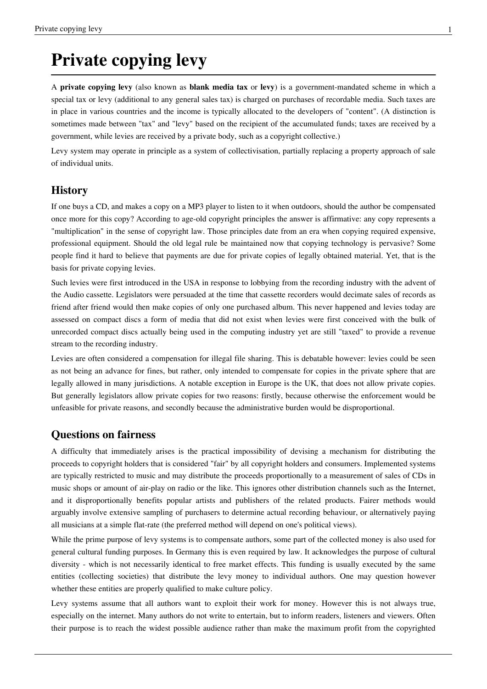# **Private copying levy**

A **private copying levy** (also known as **blank media tax** or **levy**) is a [government](http://en.wikipedia.org/w/index.php?title=Government)-mandated scheme in which a special [tax o](http://en.wikipedia.org/w/index.php?title=Tax)r [levy](http://en.wikipedia.org/w/index.php?title=Tax) (additional to any general [sales tax\)](http://en.wikipedia.org/w/index.php?title=Sales_tax) is charged on purchases of [recordable media](http://en.wikipedia.org/w/index.php?title=Recordable_media). Such taxes are in place in various countries and the income is typically allocated to the developers of "content". (A distinction is sometimes made between "tax" and "levy" based on the recipient of the accumulated funds; taxes are received by a government, while levies are received by a private body, such as a [copyright collective](http://en.wikipedia.org/w/index.php?title=Copyright_collective).)

Levy system may operate in principle as a system of [collectivisation](http://en.wikipedia.org/w/index.php?title=Collectivisation), partially replacing a [property](http://en.wikipedia.org/w/index.php?title=Property) approach of sale of individual units.

## **History**

If one buys a [CD](http://en.wikipedia.org/w/index.php?title=CD), and makes a copy on a [MP3 player](http://en.wikipedia.org/w/index.php?title=MP3_player) to listen to it when outdoors, should the author be compensated once more for this copy? According to age-old copyright principles the answer is affirmative: any copy represents a "multiplication" in the sense of copyright law. Those principles date from an era when copying required expensive, professional equipment. Should the old legal rule be maintained now that copying technology is pervasive? Some people find it hard to believe that payments are due for private copies of legally obtained material. Yet, that is the basis for private copying levies.

Such levies were first introduced in the USA in response to lobbying from the recording industry with the advent of the [Audio cassette.](http://en.wikipedia.org/w/index.php?title=Audio_cassette) Legislators were persuaded at the time that cassette recorders would decimate sales of records as friend after friend would then make copies of only one purchased album. This never happened and levies today are assessed on compact discs a form of media that did not exist when levies were first conceived with the bulk of unrecorded compact discs actually being used in the computing industry yet are still "taxed" to provide a revenue stream to the recording industry.

Levies are often considered a compensation for illegal [file sharing.](http://en.wikipedia.org/w/index.php?title=File_sharing) This is debatable however: levies could be seen as not being an advance for fines, but rather, only intended to compensate for copies in the private sphere that are legally allowed in many jurisdictions. A notable exception in Europe is the UK, that does not allow private copies. But generally legislators allow private copies for two reasons: firstly, because otherwise the enforcement would be unfeasible for private reasons, and secondly because the administrative burden would be disproportional.

## **Questions on fairness**

A difficulty that immediately arises is the practical impossibility of devising a mechanism for distributing the proceeds to copyright holders that is considered "fair" by all copyright holders and consumers. Implemented systems are typically restricted to music and may distribute the proceeds proportionally to a measurement of sales of [CD](http://en.wikipedia.org/w/index.php?title=Compact_disc)s in music shops or amount of air-play on [radio](http://en.wikipedia.org/w/index.php?title=Radio) or the like. This ignores other distribution channels such as the [Internet](http://en.wikipedia.org/w/index.php?title=Internet), and it disproportionally benefits popular artists and publishers of the related products. Fairer methods would arguably involve extensive [sampling o](http://en.wikipedia.org/w/index.php?title=Sampling_%28statistics%29)f purchasers to determine actual recording behaviour, or alternatively paying all musicians at a simple flat-rate (the preferred method will depend on one's [political](http://en.wikipedia.org/w/index.php?title=Political) views).

While the prime purpose of levy systems is to compensate authors, some part of the collected money is also used for general cultural funding purposes. In Germany this is even required by law. It acknowledges the purpose of cultural diversity - which is not necessarily identical to free market effects. This funding is usually executed by the same entities (collecting societies) that distribute the levy money to individual authors. One may question however whether these entities are properly qualified to make culture policy.

Levy systems assume that all authors want to exploit their work for money. However this is not always true, especially on the internet. Many authors do not write to entertain, but to inform readers, listeners and viewers. Often their purpose is to reach the widest possible audience rather than make the maximum profit from the copyrighted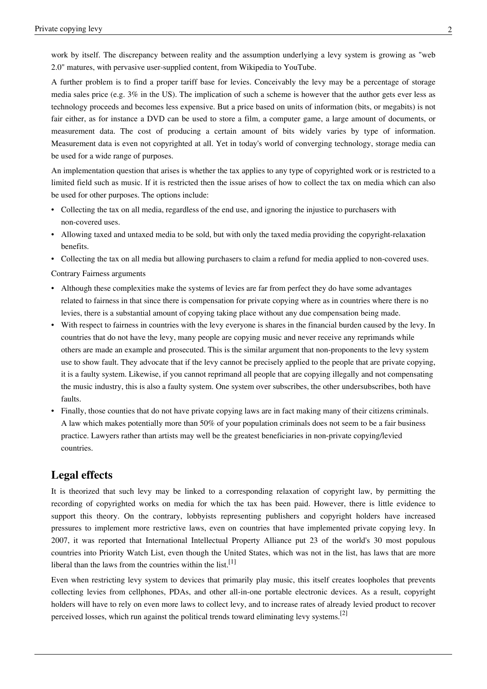A further problem is to find a proper tariff base for levies. Conceivably the levy may be a percentage of storage media sales price (e.g. 3% in the US). The implication of such a scheme is however that the author gets ever less as technology proceeds and becomes less expensive. But a price based on units of information (bits, or megabits) is not fair either, as for instance a DVD can be used to store a film, a computer game, a large amount of documents, or measurement data. The cost of producing a certain amount of bits widely varies by type of information. Measurement data is even not copyrighted at all. Yet in today's world of converging technology, storage media can be used for a wide range of purposes.

An implementation question that arises is whether the tax applies to any type of copyrighted work or is restricted to a limited field such as [music.](http://en.wikipedia.org/w/index.php?title=Music) If it is restricted then the issue arises of how to collect the tax on media which can also be used for other purposes. The options include:

- Collecting the tax on all media, regardless of the end use, and ignoring the injustice to purchasers with non-covered uses.
- Allowing taxed and untaxed media to be sold, but with only the taxed media providing the copyright-relaxation benefits.
- Collecting the tax on all media but allowing purchasers to claim a refund for media applied to non-covered uses.

Contrary Fairness arguments

- Although these complexities make the systems of levies are far from perfect they do have some advantages related to fairness in that since there is compensation for private copying where as in countries where there is no levies, there is a substantial amount of copying taking place without any due compensation being made.
- With respect to fairness in countries with the levy everyone is shares in the financial burden caused by the levy. In countries that do not have the levy, many people are copying music and never receive any reprimands while others are made an example and prosecuted. This is the similar argument that non-proponents to the levy system use to show fault. They advocate that if the levy cannot be precisely applied to the people that are private copying, it is a faulty system. Likewise, if you cannot reprimand all people that are copying illegally and not compensating the music industry, this is also a faulty system. One system over subscribes, the other undersubscribes, both have faults.
- Finally, those counties that do not have private copying laws are in fact making many of their citizens criminals. A law which makes potentially more than 50% of your population criminals does not seem to be a fair business practice. Lawyers rather than artists may well be the greatest beneficiaries in non-private copying/levied countries.

## **Legal effects**

It is theorized that such levy may be linked to a corresponding relaxation of [copyright](http://en.wikipedia.org/w/index.php?title=Copyright) law, by permitting the recording of copyrighted works on media for which the tax has been paid. However, there is little evidence to support this theory. On the contrary, lobbyists representing publishers and copyright holders have increased pressures to implement more restrictive laws, even on countries that have implemented private copying levy. In 2007, it was reported that International Intellectual Property Alliance put 23 of the world's 30 most populous countries into Priority Watch List, even though the United States, which was not in the list, has laws that are more liberal than the laws from the countries within the list.<sup>[1]</sup>

Even when restricting levy system to devices that primarily play music, this itself creates loopholes that prevents collecting levies from cellphones, PDAs, and other all-in-one portable electronic devices. As a result, copyright holders will have to rely on even more laws to collect levy, and to increase rates of already levied product to recover perceived losses, which run against the political trends toward eliminating levy systems.<sup>[2]</sup>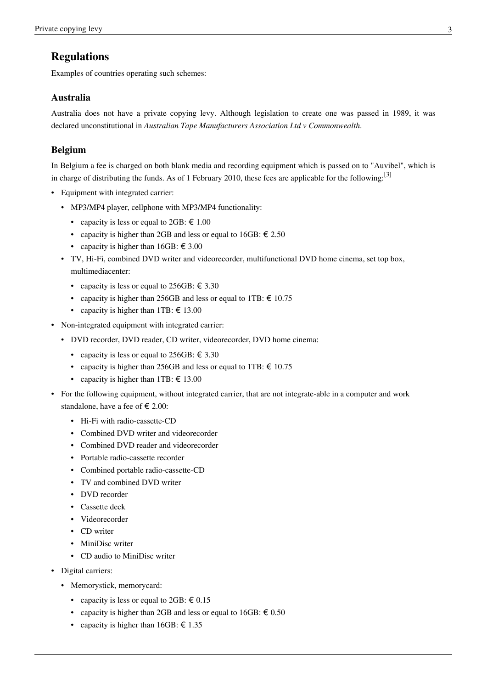## **Regulations**

Examples of countries operating such schemes:

### **Australia**

Australia does not have a private copying levy. Although legislation to create one was passed in 1989, it was declared unconstitutional in *[Australian Tape Manufacturers Association Ltd v Commonwealth](http://en.wikipedia.org/w/index.php?title=Australian_Tape_Manufacturers_Association_Ltd_v_Commonwealth)*.

## **Belgium**

In Belgium a fee is charged on both blank media and recording equipment which is passed on to "Auvibel", which is in charge of distributing the funds. As of 1 February 2010, these fees are applicable for the following:<sup>[3]</sup>

- Equipment with integrated carrier:
	- MP3/MP4 player, cellphone with MP3/MP4 functionality:
		- capacity is less or equal to  $2GB: \text{\textsterling} 1.00$
		- capacity is higher than 2GB and less or equal to  $16GB: \text{\textsterling} 2.50$
		- capacity is higher than  $16GB: \text{\textsterling} 3.00$
	- TV, Hi-Fi, combined DVD writer and videorecorder, multifunctional DVD home cinema, set top box, multimediacenter:
		- capacity is less or equal to 256GB:  $\epsilon$  3.30
		- capacity is higher than 256GB and less or equal to 1TB:  $\epsilon$  10.75
		- capacity is higher than 1TB:  $\epsilon$  13.00
- Non-integrated equipment with integrated carrier:
	- DVD recorder, DVD reader, CD writer, videorecorder, DVD home cinema:
		- capacity is less or equal to 256GB:  $\text{\large\ensuremath{\in}} 3.30$
		- capacity is higher than 256GB and less or equal to 1TB:  $\epsilon$  10.75
		- capacity is higher than 1TB:  $\epsilon$  13.00
- For the following equipment, without integrated carrier, that are not integrate-able in a computer and work standalone, have a fee of  $\epsilon$  2.00:
	- Hi-Fi with radio-cassette-CD
	- Combined DVD writer and videorecorder
	- Combined DVD reader and videorecorder
	- Portable radio-cassette recorder
	- Combined portable radio-cassette-CD
	- TV and combined DVD writer
	- DVD recorder
	- Cassette deck
	- Videorecorder
	- CD writer
	- MiniDisc writer
	- CD audio to MiniDisc writer
- Digital carriers:
	- Memorystick, memorycard:
		- capacity is less or equal to  $2GB: \epsilon 0.15$
		- capacity is higher than 2GB and less or equal to  $16GB: \text{\textsterling} 0.50$
		- capacity is higher than  $16GB: \text{\textsterling} 1.35$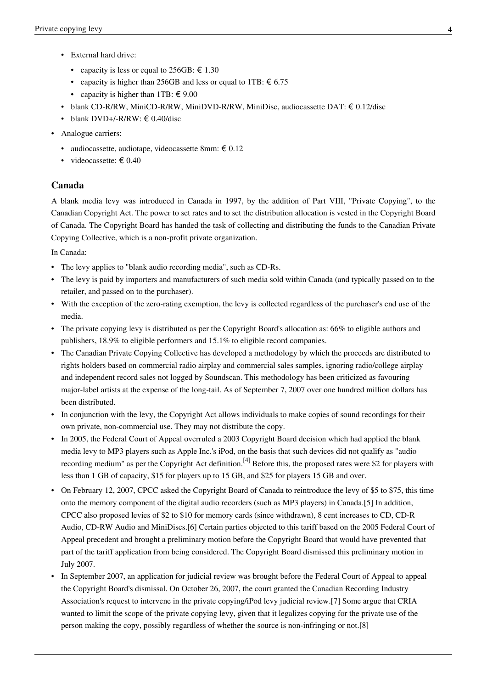- External hard drive:
	- capacity is less or equal to 256GB:  $\epsilon$  1.30
	- capacity is higher than 256GB and less or equal to 1TB:  $\epsilon$  6.75
	- capacity is higher than 1TB:  $\in$  9.00
- blank CD-R/RW, MiniCD-R/RW, MiniDVD-R/RW, MiniDisc, audiocassette DAT:  $\epsilon$  0.12/disc
- blank DVD+/-R/RW:  $\in$  0.40/disc
- Analogue carriers:
	- audiocassette, audiotape, videocassette 8mm:  $\epsilon$  0.12
	- videocassette:  $\epsilon$  0.40

### **Canada**

A blank media levy was introduced in [Canada](http://en.wikipedia.org/w/index.php?title=Canada) in 1997, by the addition of Part VIII, "Private Copying", to the [Canadian Copyright Act.](http://en.wikipedia.org/w/index.php?title=Copyright_law_in_Canada) The power to set rates and to set the distribution allocation is vested in the [Copyright Board](http://en.wikipedia.org/w/index.php?title=Copyright_Board_of_Canada) [of Canada.](http://en.wikipedia.org/w/index.php?title=Copyright_Board_of_Canada) The Copyright Board has handed the task of collecting and distributing the funds to the [Canadian Private](http://en.wikipedia.org/w/index.php?title=Canadian_Private_Copying_Collective) [Copying Collective,](http://en.wikipedia.org/w/index.php?title=Canadian_Private_Copying_Collective) which is a non-profit private organization.

In Canada:

- The levy applies to "blank audio recording media", such as [CD-Rs](http://en.wikipedia.org/w/index.php?title=CD-R).
- The levy is paid by importers and manufacturers of such media sold within Canada (and typically passed on to the retailer, and passed on to the purchaser).
- With the exception of the zero-rating exemption, the levy is collected regardless of the purchaser's end use of the media.
- The private copying levy is distributed as per the Copyright Board's allocation as: 66% to eligible authors and publishers, 18.9% to eligible performers and 15.1% to eligible record companies.
- The Canadian Private Copying Collective has developed a methodology by which the proceeds are distributed to rights holders based on commercial radio airplay and commercial sales samples, ignoring radio/college airplay and independent record sales not logged by Soundscan. This methodology has been criticized as favouring major-label artists at the expense of the [long-tail](http://en.wikipedia.org/w/index.php?title=Long-tail). As of September 7, 2007 over one hundred million dollars has been distributed.
- In conjunction with the levy, the Copyright Act allows individuals to make copies of sound recordings for their own private, non-commercial use. They may not distribute the copy.
- In 2005, the Federal Court of Appeal overruled a 2003 Copyright Board decision which had applied the blank media levy to [MP3 p](http://en.wikipedia.org/w/index.php?title=MP3)layers such as [Apple Inc.](http://en.wikipedia.org/w/index.php?title=Apple_Inc.)'s [iPod](http://en.wikipedia.org/w/index.php?title=IPod), on the basis that such devices did not qualify as "audio recording medium" as per the Copyright Act definition.<sup>[4]</sup> Before this, the proposed rates were [\\$2](http://en.wikipedia.org/w/index.php?title=Canadian_dollar) for players with less than 1 [GB o](http://en.wikipedia.org/w/index.php?title=Gigabyte)f capacity, \$15 for players up to 15 GB, and \$25 for players 15 GB and over.
- On February 12, 2007, CPCC asked the Copyright Board of Canada to reintroduce the levy of \$5 to \$75, this time onto the memory component of the digital audio recorders (such as MP3 players) in Canada.[\[5\]](http://www.engadget.com/2007/02/12/mp3-player-levy-could-be-reinstated-in-canada/) In addition, CPCC also proposed levies of \$2 to \$10 for memory cards (since withdrawn), 8 cent increases to CD, CD-R Audio, CD-RW Audio and MiniDiscs[.\[6\]](http://www.canada.com/saskatoonstarphoenix/story.html?id=cccd9ce1-5279-4145-9874-a179b5be067f&k=26495) Certain parties objected to this tariff based on the 2005 Federal Court of Appeal precedent and brought a preliminary motion before the Copyright Board that would have prevented that part of the tariff application from being considered. The Copyright Board dismissed this preliminary motion in July 2007.
- In September 2007, an application for judicial review was brought before the [Federal Court of Appeal](http://en.wikipedia.org/w/index.php?title=Federal_Court_of_Appeal) to appeal the Copyright Board's dismissal. On October 26, 2007, the court granted the Canadian Recording Industry Association's request to intervene in the private copying/iPod levy judicial review.[\[7\] S](http://www.michaelgeist.ca/content/view/2334/125/)ome argue that CRIA wanted to limit the scope of the private copying levy, given that it legalizes copying for the private use of the person making the copy, possibly regardless of whether the source is non-infringing or not[.\[8\]](http://www.michaelgeist.ca/content/view/2238/125/)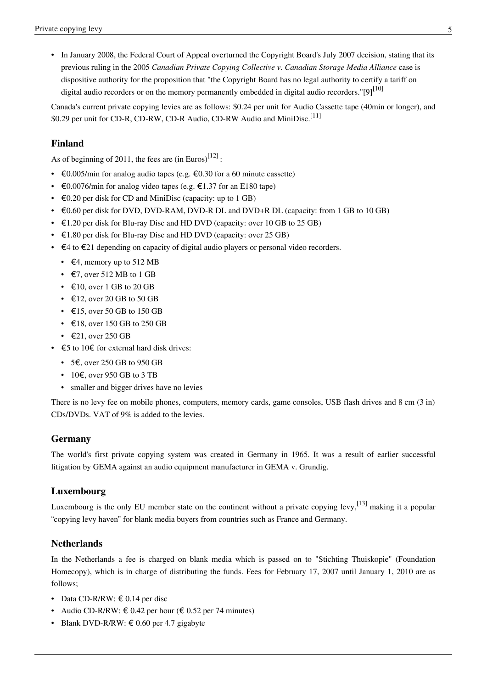• In January 2008, the [Federal Court of Appeal o](http://en.wikipedia.org/w/index.php?title=Federal_Court_of_Appeal)verturned the Copyright Board's July 2007 decision, stating that its previous ruling in the 2005 *Canadian Private Copying Collective v. Canadian Storage Media Alliance* case is dispositive authority for the proposition that "the Copyright Board has no legal authority to certify a tariff on digital audio recorders or on the memory permanently embedded in digital audio recorders." $[9]^{[10]}$  $[9]^{[10]}$ 

Canada's current private copying levies are as follows: \$0.24 per unit for Audio Cassette tape (40min or longer), and \$0.29 per unit for CD-R, CD-RW, CD-R Audio, CD-RW Audio and MiniDisc.<sup>[11]</sup>

## **Finland**

As of beginning of 2011, the fees are  $(in Euros)^{[12]}$  $(in Euros)^{[12]}$  $(in Euros)^{[12]}$ :

- $\epsilon$ 0.005/min for analog audio tapes (e.g.  $\epsilon$ 0.30 for a 60 minute cassette)
- $\epsilon$ 0.0076/min for analog video tapes (e.g.  $\epsilon$ 1.37 for an E180 tape)
- $\epsilon$ 0.20 per disk for [CD](http://en.wikipedia.org/w/index.php?title=CD) and [MiniDisc](http://en.wikipedia.org/w/index.php?title=MiniDisc) (capacity: up to 1 GB)
- $\epsilon$ 0.60 per disk for [DVD,](http://en.wikipedia.org/w/index.php?title=DVD) [DVD-RAM](http://en.wikipedia.org/w/index.php?title=DVD-RAM), [DVD-R DL](http://en.wikipedia.org/w/index.php?title=DVD-R_DL) and [DVD+R DL \(](http://en.wikipedia.org/w/index.php?title=DVD%2BR_DL)capacity: from 1 GB to 10 GB)
- $\epsilon$ 1.20 per disk for [Blu-ray Disc a](http://en.wikipedia.org/w/index.php?title=Blu-ray_Disc)nd [HD DVD \(](http://en.wikipedia.org/w/index.php?title=HD_DVD)capacity: over 10 GB to 25 GB)
- $\epsilon$ 1.80 per disk for Blu-ray Disc and HD DVD (capacity: over 25 GB)
- $\epsilon$ 4 to  $\epsilon$ 21 depending on capacity of [digital audio player](http://en.wikipedia.org/w/index.php?title=Digital_audio_player)s or [personal video recorders](http://en.wikipedia.org/w/index.php?title=Personal_video_recorder).
	- $\in$  4, memory up to 512 MB
	- $\epsilon$ 7, over 512 MB to 1 GB
	- $\in$  10, over 1 GB to 20 GB
	- $\in$  12, over 20 GB to 50 GB
	- $\cdot$   $\in$  15, over 50 GB to 150 GB
	- $\in$  18, over 150 GB to 250 GB
	- $\epsilon$ 21, over 250 GB
- $\epsilon$   $\epsilon$  to 10 $\epsilon$  for [external hard disk drive](http://en.wikipedia.org/w/index.php?title=External_hard_disk_drive)s:
	- 5 $\epsilon$ , over 250 GB to 950 GB
	- 10€, over 950 GB to 3 TB
	- smaller and bigger drives have no levies

There is no levy fee on mobile phones, computers, memory cards, game consoles, [USB flash drive](http://en.wikipedia.org/w/index.php?title=USB_flash_drive)s and 8 cm (3 in) CDs/DVDs. [VAT o](http://en.wikipedia.org/w/index.php?title=VAT)f 9% is added to the levies.

#### **Germany**

The world's first private copying system was created in Germany in 1965. It was a result of earlier successful litigation by [GEMA a](http://en.wikipedia.org/w/index.php?title=GEMA_%28Germany%29)gainst an audio equipment manufacturer in [GEMA v. Grundig](http://en.wikipedia.org/w/index.php?title=GEMA_v._Grundig).

#### **Luxembourg**

Luxembourg is the only EU member state on the continent without a private copying levy,<sup>[13]</sup> making it a popular "copying levy haven" for blank media buyers from countries such as France and Germany.

#### **Netherlands**

In the Netherlands a fee is charged on blank media which is passed on to "Stichting Thuiskopie" (Foundation Homecopy), which is in charge of distributing the funds. Fees for February 17, 2007 until January 1, 2010 are as follows;

- Data CD-R/RW:  $\in$  0.14 per disc
- Audio CD-R/RW:  $\in 0.42$  per hour ( $\in 0.52$  per 74 minutes)
- Blank DVD-R/RW:  $\text{\textsterling} 0.60$  per 4.7 gigabyte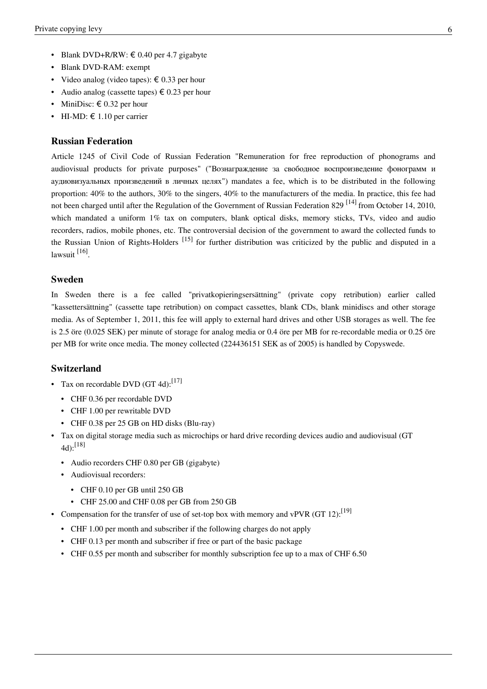- Blank DVD-RAM: exempt
- Video analog (video tapes):  $\epsilon$  0.33 per hour
- Audio analog (cassette tapes)  $\epsilon$  0.23 per hour
- MiniDisc:  $\epsilon$  0.32 per hour
- HI-MD:  $\in$  1.10 per carrier

#### **Russian Federation**

Article 1245 of Civil Code of Russian Federation "Remuneration for free reproduction of phonograms and audiovisual products for private purposes" ("Вознаграждение за свободное воспроизведение фонограмм и аудиовизуальных произведений в личных целях") mandates a fee, which is to be distributed in the following proportion: 40% to the authors, 30% to the singers, 40% to the manufacturers of the media. In practice, this fee had not been charged until after the Regulation of the Government of Russian Federation 829<sup>[14]</sup> from October 14, 2010, which mandated a uniform 1% tax on computers, blank optical disks, memory sticks, TVs, video and audio recorders, radios, mobile phones, etc. The controversial decision of the government to award the collected funds to the Russian Union of Rights-Holders <sup>[15]</sup> for further distribution was criticized by the public and disputed in a lawsuit <sup>[\[16\]](http://www.bbc.co.uk/russian/rolling_news/2011/03/110326_rn_mikhalkov_accreditation.shtml)</sup>.

#### **Sweden**

In Sweden there is a fee called "privatkopieringsersättning" (private copy retribution) earlier called "kassettersättning" (cassette tape retribution) on compact cassettes, blank CDs, blank minidiscs and other storage media. As of September 1, 2011, this fee will apply to external hard drives and other USB storages as well. The fee is 2.5 öre (0.025 SEK) per minute of storage for analog media or 0.4 öre per MB for re-recordable media or 0.25 öre per MB for write once media. The money collected (224436151 SEK as of 2005) is handled by [Copyswede.](http://en.wikipedia.org/w/index.php?title=Copyswede)

#### **Switzerland**

- Tax on recordable DVD (GT 4d):<sup>[17]</sup>
	- [CHF 0](http://en.wikipedia.org/w/index.php?title=Swiss_Franc).36 per recordable DVD
	- CHF 1.00 per rewritable DVD
	- CHF 0.38 per 25 GB on HD disks (Blu-ray)
- Tax on digital storage media such as microchips or hard drive recording devices audio and audiovisual (GT  $(4d)$ : [18]
	- Audio recorders CHF 0.80 per GB (gigabyte)
	- Audiovisual recorders:
		- CHF 0.10 per GB until 250 GB
		- CHF 25.00 and CHF 0.08 per GB from 250 GB
- Compensation for the transfer of use of set-top box with memory and vPVR  $(GT 12)$ :<sup>[19]</sup>
	- CHF 1.00 per month and subscriber if the following charges do not apply
	- CHF 0.13 per month and subscriber if free or part of the basic package
	- CHF 0.55 per month and subscriber for monthly subscription fee up to a max of CHF 6.50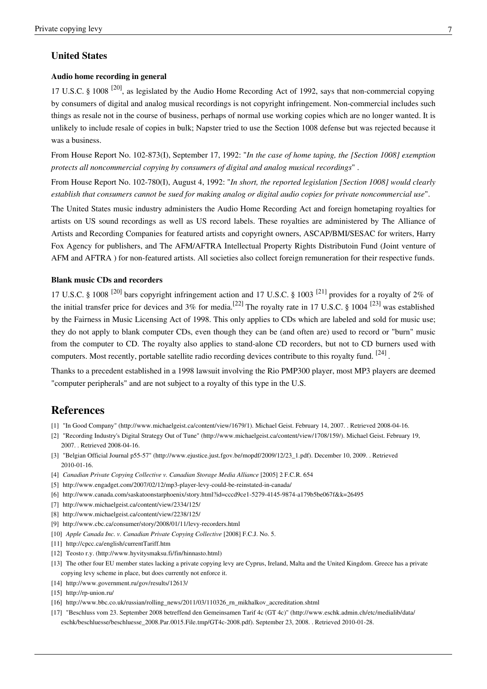### **United States**

#### **Audio home recording in general**

[17 U.S.C.](http://en.wikipedia.org/w/index.php?title=Title_17_of_the_United_States_Code) § 1008<sup>[\[20\]](http://www.law.cornell.edu/uscode/17/1008.html)</sup>, as legislated by the [Audio Home Recording Act o](http://en.wikipedia.org/w/index.php?title=Audio_Home_Recording_Act)f 1992, says that non-commercial copying by consumers of digital and analog musical recordings is not copyright infringement. Non-commercial includes such things as resale not in the course of business, perhaps of normal use working copies which are no longer wanted. It is unlikely to include resale of copies in bulk; [Napster t](http://en.wikipedia.org/w/index.php?title=Napster)ried to use the Section 1008 defense but was rejected because it was a business.

From House Report No. 102-873(I), September 17, 1992: "*In the case of home taping, the [Section 1008] exemption protects all noncommercial copying by consumers of digital and analog musical recordings*" .

From House Report No. 102-780(I), August 4, 1992: "*In short, the reported legislation [Section 1008] would clearly establish that consumers cannot be sued for making analog or digital audio copies for private noncommercial use*".

The United States music industry administers the [Audio Home Recording Act a](http://en.wikipedia.org/w/index.php?title=Audio_Home_Recording_Act)nd foreign hometaping royalties for artists on US sound recordings as well as US record labels. These royalties are administered by The [Alliance of](http://en.wikipedia.org/w/index.php?title=Alliance_of_Artists_and_Recording_Companies) [Artists and Recording Companies f](http://en.wikipedia.org/w/index.php?title=Alliance_of_Artists_and_Recording_Companies)or featured artists and copyright owners, [ASCAP](http://en.wikipedia.org/w/index.php?title=ASCAP)[/BMI/](http://en.wikipedia.org/w/index.php?title=Broadcast_Music_Incorporated)[SESAC f](http://en.wikipedia.org/w/index.php?title=SESAC)or writers, [Harry](http://en.wikipedia.org/w/index.php?title=Harry_Fox_Agency) [Fox Agency f](http://en.wikipedia.org/w/index.php?title=Harry_Fox_Agency)or publishers, and The AFM/AFTRA Intellectual Property Rights Distributoin Fund (Joint venture of [AFM a](http://en.wikipedia.org/w/index.php?title=AFM)nd [AFTRA](http://en.wikipedia.org/w/index.php?title=AFTRA) ) for non-featured artists. All societies also collect foreign remuneration for their respective funds.

#### **Blank music CDs and recorders**

[17 U.S.C.](http://en.wikipedia.org/w/index.php?title=Title_17_of_the_United_States_Code) § 1008<sup>[20]</sup> bars copyright infringement action and 17 U.S.C. § 1003<sup>[21]</sup> provides for a royalty of 2% of the initial transfer price for devices and 3% for media.<sup>[22]</sup> The royalty rate in [17 U.S.C.](http://en.wikipedia.org/w/index.php?title=Title_17_of_the_United_States_Code) § 1004<sup>[23]</sup> was established by the [Fairness in Music Licensing Act o](http://en.wikipedia.org/w/index.php?title=Fairness_in_Music_Licensing_Act)f 1998. This only applies to CDs which are labeled and sold for music use; they do not apply to blank computer CDs, even though they can be (and often are) used to record or "burn" music from the computer to CD. The royalty also applies to stand-alone CD recorders, but not to CD burners used with computers. Most recently, portable satellite radio recording devices contribute to this royalty fund. <sup>[24]</sup>.

Thanks to a precedent established in a 1998 lawsuit involving the [Rio PMP300](http://en.wikipedia.org/w/index.php?title=Rio_PMP300) player, most [MP3 player](http://en.wikipedia.org/w/index.php?title=MP3_player)s are deemed "computer peripherals" and are not subject to a royalty of this type in the U.S.

## **References**

- [1] "In Good Company" [\(http://www.michaelgeist.ca/content/view/1679/1\)](http://www.michaelgeist.ca/content/view/1679/1). [Michael Geist](http://en.wikipedia.org/w/index.php?title=Michael_Geist). February 14, 2007. . Retrieved 2008-04-16.
- [2] "Recording Industry's Digital Strategy Out of Tune" [\(http://www.michaelgeist.ca/content/view/1708/159/\).](http://www.michaelgeist.ca/content/view/1708/159/) Michael Geist. February 19, 2007. . Retrieved 2008-04-16.
- [3] "Belgian Official Journal p55-57" [\(http://www.ejustice.just.fgov.be/mopdf/2009/12/23\\_1.pdf\).](http://www.ejustice.just.fgov.be/mopdf/2009/12/23_1.pdf) December 10, 2009. . Retrieved 2010-01-16.
- [4] *Canadian Private Copying Collective v. Canadian Storage Media Alliance* [2005] 2 F.C.R. 654
- [5] <http://www.engadget.com/2007/02/12/mp3-player-levy-could-be-reinstated-in-canada/>
- [6] <http://www.canada.com/saskatoonstarphoenix/story.html?id=cccd9ce1-5279-4145-9874-a179b5be067f&k=26495>
- [7] <http://www.michaelgeist.ca/content/view/2334/125/>
- [8] <http://www.michaelgeist.ca/content/view/2238/125/>
- [9] <http://www.cbc.ca/consumer/story/2008/01/11/levy-recorders.html>
- [10] *Apple Canada Inc. v. Canadian Private Copying Collective* [2008] F.C.J. No. 5.
- [11] <http://cpcc.ca/english/currentTariff.htm>
- [12] Teosto r.y. [\(http://www.hyvitysmaksu.fi/fin/hinnasto.html\)](http://www.hyvitysmaksu.fi/fin/hinnasto.html)
- [13] The other four EU member states lacking a private copying levy are Cyprus, Ireland, Malta and the United Kingdom. Greece has a private copying levy scheme in place, but does currently not enforce it.
- [14] <http://www.government.ru/gov/results/12613/>
- [15] <http://rp-union.ru/>
- [16] [http://www.bbc.co.uk/russian/rolling\\_news/2011/03/110326\\_rn\\_mikhalkov\\_accreditation.shtml](http://www.bbc.co.uk/russian/rolling_news/2011/03/110326_rn_mikhalkov_accreditation.shtml)
- [17] "Beschluss vom 23. September 2008 betreffend den Gemeinsamen Tarif 4c (GT 4c)" [\(http://www.eschk.admin.ch/etc/medialib/data/](http://www.eschk.admin.ch/etc/medialib/data/eschk/beschluesse/beschluesse_2008.Par.0015.File.tmp/GT4c-2008.pdf) [eschk/beschluesse/beschluesse\\_2008.Par.0015.File.tmp/GT4c-2008.pdf\).](http://www.eschk.admin.ch/etc/medialib/data/eschk/beschluesse/beschluesse_2008.Par.0015.File.tmp/GT4c-2008.pdf) September 23, 2008. . Retrieved 2010-01-28.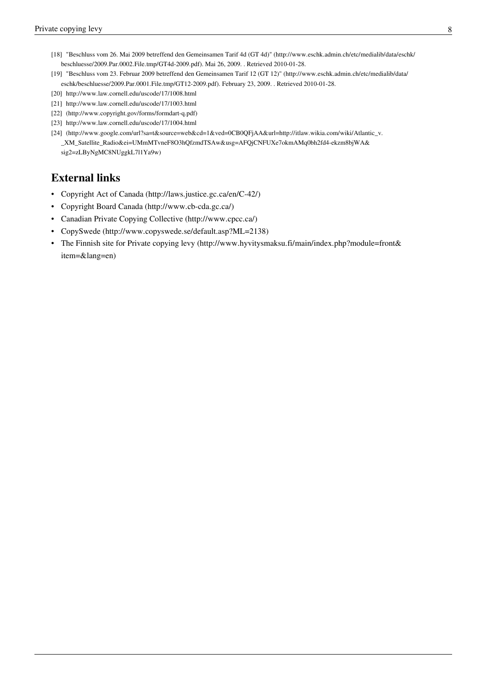- [18] "Beschluss vom 26. Mai 2009 betreffend den Gemeinsamen Tarif 4d (GT 4d)" [\(http://www.eschk.admin.ch/etc/medialib/data/eschk/](http://www.eschk.admin.ch/etc/medialib/data/eschk/beschluesse/2009.Par.0002.File.tmp/GT4d-2009.pdf) [beschluesse/2009.Par.0002.File.tmp/GT4d-2009.pdf\).](http://www.eschk.admin.ch/etc/medialib/data/eschk/beschluesse/2009.Par.0002.File.tmp/GT4d-2009.pdf) Mai 26, 2009. . Retrieved 2010-01-28.
- [19] "Beschluss vom 23. Februar 2009 betreffend den Gemeinsamen Tarif 12 (GT 12)" [\(http://www.eschk.admin.ch/etc/medialib/data/](http://www.eschk.admin.ch/etc/medialib/data/eschk/beschluesse/2009.Par.0001.File.tmp/GT12-2009.pdf) [eschk/beschluesse/2009.Par.0001.File.tmp/GT12-2009.pdf\).](http://www.eschk.admin.ch/etc/medialib/data/eschk/beschluesse/2009.Par.0001.File.tmp/GT12-2009.pdf) February 23, 2009. . Retrieved 2010-01-28.
- [20] <http://www.law.cornell.edu/uscode/17/1008.html>
- [21] <http://www.law.cornell.edu/uscode/17/1003.html>
- [22] [\(http://www.copyright.gov/forms/formdart-q.pdf\)](http://www.copyright.gov/forms/formdart-q.pdf)
- [23] <http://www.law.cornell.edu/uscode/17/1004.html>
- [24] [\(http://www.google.com/url?sa=t&source=web&cd=1&ved=0CB0QFjAA&url=http://itlaw.wikia.com/wiki/Atlantic\\_v.](http://www.google.com/url?sa=t&source=web&cd=1&ved=0CB0QFjAA&url=http%3A%2F%2Fitlaw.wikia.com%2Fwiki%2FAtlantic_v._XM_Satellite_Radio&ei=UMmMTvneF8O3hQfzmdTSAw&usg=AFQjCNFUXe7okmAMq0bh2fd4-ekzm8bjWA&sig2=zLByNgMC8NUggkL7l1Ya9w) [\\_XM\\_Satellite\\_Radio&ei=UMmMTvneF8O3hQfzmdTSAw&usg=AFQjCNFUXe7okmAMq0bh2fd4-ekzm8bjWA&](http://www.google.com/url?sa=t&source=web&cd=1&ved=0CB0QFjAA&url=http%3A%2F%2Fitlaw.wikia.com%2Fwiki%2FAtlantic_v._XM_Satellite_Radio&ei=UMmMTvneF8O3hQfzmdTSAw&usg=AFQjCNFUXe7okmAMq0bh2fd4-ekzm8bjWA&sig2=zLByNgMC8NUggkL7l1Ya9w) [sig2=zLByNgMC8NUggkL7l1Ya9w\)](http://www.google.com/url?sa=t&source=web&cd=1&ved=0CB0QFjAA&url=http%3A%2F%2Fitlaw.wikia.com%2Fwiki%2FAtlantic_v._XM_Satellite_Radio&ei=UMmMTvneF8O3hQfzmdTSAw&usg=AFQjCNFUXe7okmAMq0bh2fd4-ekzm8bjWA&sig2=zLByNgMC8NUggkL7l1Ya9w)

## **External links**

- Copyright Act of Canada [\(http://laws.justice.gc.ca/en/C-42/\)](http://laws.justice.gc.ca/en/C-42/)
- Copyright Board Canada [\(http://www.cb-cda.gc.ca/\)](http://www.cb-cda.gc.ca/)
- Canadian Private Copying Collective [\(http://www.cpcc.ca/\)](http://www.cpcc.ca/)
- CopySwede [\(http://www.copyswede.se/default.asp?ML=2138\)](http://www.copyswede.se/default.asp?ML=2138)
- The Finnish site for Private copying levy [\(http://www.hyvitysmaksu.fi/main/index.php?module=front&](http://www.hyvitysmaksu.fi/main/index.php?module=front&item=&lang=en) [item=&lang=en\)](http://www.hyvitysmaksu.fi/main/index.php?module=front&item=&lang=en)